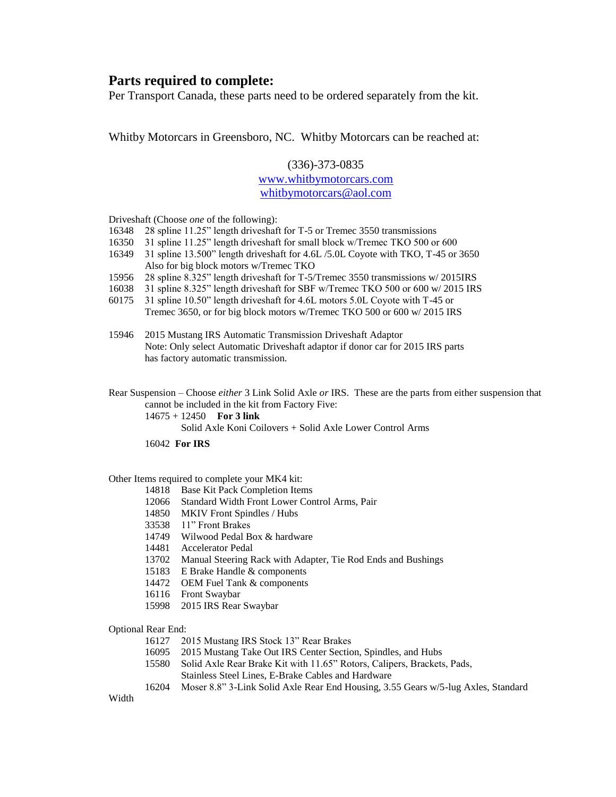## **Parts required to complete:**

Per Transport Canada, these parts need to be ordered separately from the kit.

Whitby Motorcars in Greensboro, NC. Whitby Motorcars can be reached at:

## (336)-373-0835 [www.whitbymotorcars.com](http://www.whitbymotorcars.com/) [whitbymotorcars@aol.com](mailto:whitbymotorcars@aol.com)

Driveshaft (Choose *one* of the following):

- 16348 28 spline 11.25" length driveshaft for T-5 or Tremec 3550 transmissions
- 16350 31 spline 11.25" length driveshaft for small block w/Tremec TKO 500 or 600
- 16349 31 spline 13.500" length driveshaft for 4.6L /5.0L Coyote with TKO, T-45 or 3650 Also for big block motors w/Tremec TKO
- 15956 28 spline 8.325" length driveshaft for T-5/Tremec 3550 transmissions w/ 2015IRS
- 16038 31 spline 8.325" length driveshaft for SBF w/Tremec TKO 500 or 600 w/ 2015 IRS
- 60175 31 spline 10.50" length driveshaft for 4.6L motors 5.0L Coyote with T-45 or Tremec 3650, or for big block motors w/Tremec TKO 500 or 600 w/ 2015 IRS
- 15946 2015 Mustang IRS Automatic Transmission Driveshaft Adaptor Note: Only select Automatic Driveshaft adaptor if donor car for 2015 IRS parts has factory automatic transmission.
- Rear Suspension Choose *either* 3 Link Solid Axle *or* IRS. These are the parts from either suspension that cannot be included in the kit from Factory Five:

14675 + 12450 **For 3 link**

Solid Axle Koni Coilovers + Solid Axle Lower Control Arms

16042 **For IRS**

## Other Items required to complete your MK4 kit:

- 14818 Base Kit Pack Completion Items
- 12066 Standard Width Front Lower Control Arms, Pair
- 14850 MKIV Front Spindles / Hubs
- 33538 11" Front Brakes
- 14749 Wilwood Pedal Box & hardware
- 14481 Accelerator Pedal
- 13702 Manual Steering Rack with Adapter, Tie Rod Ends and Bushings
- 15183 E Brake Handle & components
- 14472 OEM Fuel Tank & components
- 16116 Front Swaybar
- 15998 2015 IRS Rear Swaybar

Optional Rear End:

- 16127 2015 Mustang IRS Stock 13" Rear Brakes
- 16095 2015 Mustang Take Out IRS Center Section, Spindles, and Hubs
- 15580 Solid Axle Rear Brake Kit with 11.65" Rotors, Calipers, Brackets, Pads, Stainless Steel Lines, E-Brake Cables and Hardware
- 16204 Moser 8.8" 3-Link Solid Axle Rear End Housing, 3.55 Gears w/5-lug Axles, Standard

Width